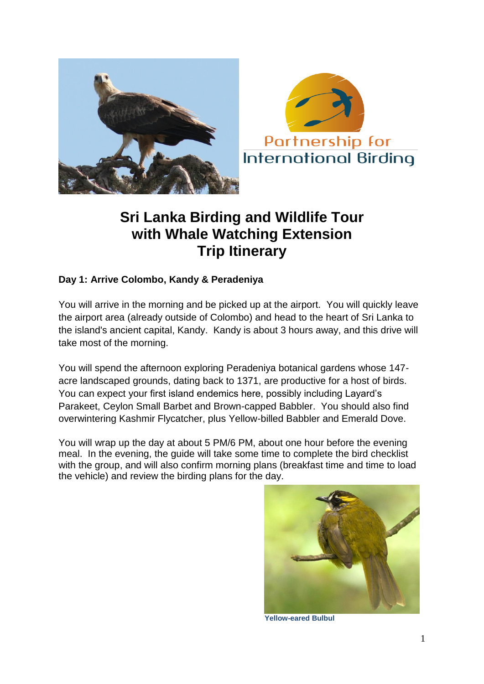



## **Sri Lanka Birding and Wildlife Tour with Whale Watching Extension Trip Itinerary**

### **Day 1: Arrive Colombo, Kandy & Peradeniya**

You will arrive in the morning and be picked up at the airport. You will quickly leave the airport area (already outside of Colombo) and head to the heart of Sri Lanka to the island's ancient capital, Kandy. Kandy is about 3 hours away, and this drive will take most of the morning.

You will spend the afternoon exploring Peradeniya botanical gardens whose 147 acre landscaped grounds, dating back to 1371, are productive for a host of birds. You can expect your first island endemics here, possibly including Layard's Parakeet, Ceylon Small Barbet and Brown-capped Babbler. You should also find overwintering Kashmir Flycatcher, plus Yellow-billed Babbler and Emerald Dove.

You will wrap up the day at about 5 PM/6 PM, about one hour before the evening meal. In the evening, the guide will take some time to complete the bird checklist with the group, and will also confirm morning plans (breakfast time and time to load the vehicle) and review the birding plans for the day.



**Yellow-eared Bulbul**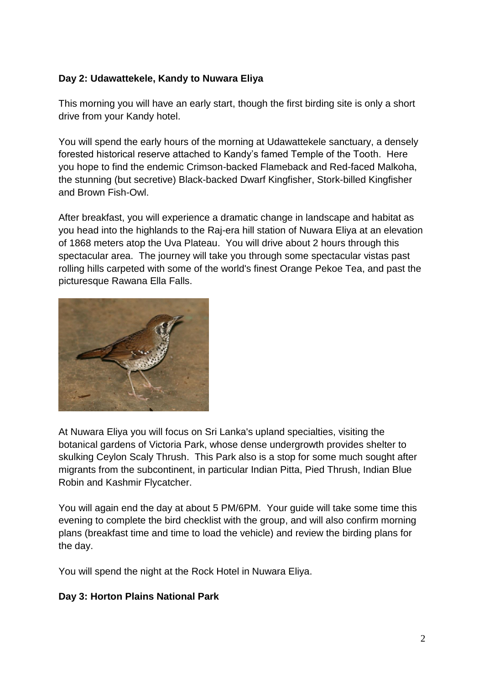### **Day 2: Udawattekele, Kandy to Nuwara Eliya**

This morning you will have an early start, though the first birding site is only a short drive from your Kandy hotel.

You will spend the early hours of the morning at Udawattekele sanctuary, a densely forested historical reserve attached to Kandy's famed Temple of the Tooth. Here you hope to find the endemic Crimson-backed Flameback and Red-faced Malkoha, the stunning (but secretive) Black-backed Dwarf Kingfisher, Stork-billed Kingfisher and Brown Fish-Owl.

After breakfast, you will experience a dramatic change in landscape and habitat as you head into the highlands to the Raj-era hill station of Nuwara Eliya at an elevation of 1868 meters atop the Uva Plateau. You will drive about 2 hours through this spectacular area. The journey will take you through some spectacular vistas past rolling hills carpeted with some of the world's finest Orange Pekoe Tea, and past the picturesque Rawana Ella Falls.



At Nuwara Eliya you will focus on Sri Lanka's upland specialties, visiting the botanical gardens of Victoria Park, whose dense undergrowth provides shelter to skulking Ceylon Scaly Thrush. This Park also is a stop for some much sought after migrants from the subcontinent, in particular Indian Pitta, Pied Thrush, Indian Blue Robin and Kashmir Flycatcher.

You will again end the day at about 5 PM/6PM. Your guide will take some time this evening to complete the bird checklist with the group, and will also confirm morning plans (breakfast time and time to load the vehicle) and review the birding plans for the day.

You will spend the night at the Rock Hotel in Nuwara Eliya.

#### **Day 3: Horton Plains National Park**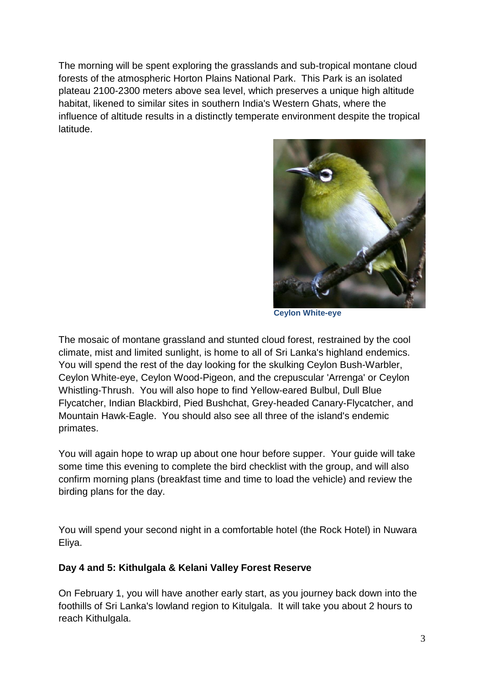The morning will be spent exploring the grasslands and sub-tropical montane cloud forests of the atmospheric Horton Plains National Park. This Park is an isolated plateau 2100-2300 meters above sea level, which preserves a unique high altitude habitat, likened to similar sites in southern India's Western Ghats, where the influence of altitude results in a distinctly temperate environment despite the tropical latitude.



**Ceylon White-eye**

The mosaic of montane grassland and stunted cloud forest, restrained by the cool climate, mist and limited sunlight, is home to all of Sri Lanka's highland endemics. You will spend the rest of the day looking for the skulking Ceylon Bush-Warbler, Ceylon White-eye, Ceylon Wood-Pigeon, and the crepuscular 'Arrenga' or Ceylon Whistling-Thrush. You will also hope to find Yellow-eared Bulbul, Dull Blue Flycatcher, Indian Blackbird, Pied Bushchat, Grey-headed Canary-Flycatcher, and Mountain Hawk-Eagle. You should also see all three of the island's endemic primates.

You will again hope to wrap up about one hour before supper. Your guide will take some time this evening to complete the bird checklist with the group, and will also confirm morning plans (breakfast time and time to load the vehicle) and review the birding plans for the day.

You will spend your second night in a comfortable hotel (the Rock Hotel) in Nuwara Eliya.

#### **Day 4 and 5: Kithulgala & Kelani Valley Forest Reserve**

On February 1, you will have another early start, as you journey back down into the foothills of Sri Lanka's lowland region to Kitulgala. It will take you about 2 hours to reach Kithulgala.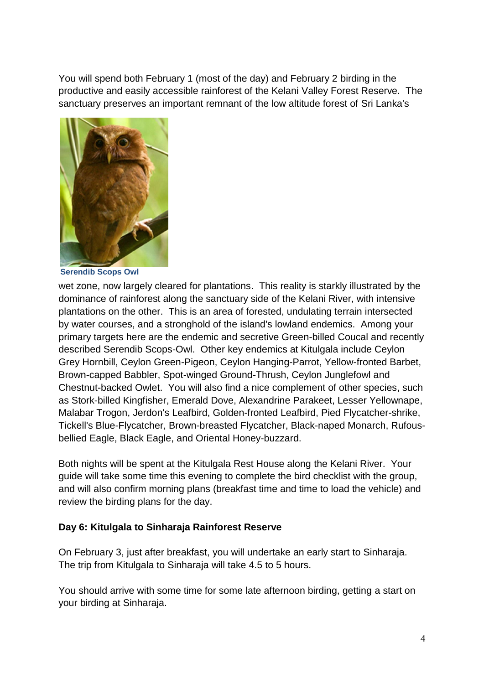You will spend both February 1 (most of the day) and February 2 birding in the productive and easily accessible rainforest of the Kelani Valley Forest Reserve. The sanctuary preserves an important remnant of the low altitude forest of Sri Lanka's



**Serendib Scops Owl**

wet zone, now largely cleared for plantations. This reality is starkly illustrated by the dominance of rainforest along the sanctuary side of the Kelani River, with intensive plantations on the other. This is an area of forested, undulating terrain intersected by water courses, and a stronghold of the island's lowland endemics. Among your primary targets here are the endemic and secretive Green-billed Coucal and recently described Serendib Scops-Owl. Other key endemics at Kitulgala include Ceylon Grey Hornbill, Ceylon Green-Pigeon, Ceylon Hanging-Parrot, Yellow-fronted Barbet, Brown-capped Babbler, Spot-winged Ground-Thrush, Ceylon Junglefowl and Chestnut-backed Owlet. You will also find a nice complement of other species, such as Stork-billed Kingfisher, Emerald Dove, Alexandrine Parakeet, Lesser Yellownape, Malabar Trogon, Jerdon's Leafbird, Golden-fronted Leafbird, Pied Flycatcher-shrike, Tickell's Blue-Flycatcher, Brown-breasted Flycatcher, Black-naped Monarch, Rufousbellied Eagle, Black Eagle, and Oriental Honey-buzzard.

Both nights will be spent at the Kitulgala Rest House along the Kelani River. Your guide will take some time this evening to complete the bird checklist with the group, and will also confirm morning plans (breakfast time and time to load the vehicle) and review the birding plans for the day.

#### **Day 6: Kitulgala to Sinharaja Rainforest Reserve**

On February 3, just after breakfast, you will undertake an early start to Sinharaja. The trip from Kitulgala to Sinharaja will take 4.5 to 5 hours.

You should arrive with some time for some late afternoon birding, getting a start on your birding at Sinharaja.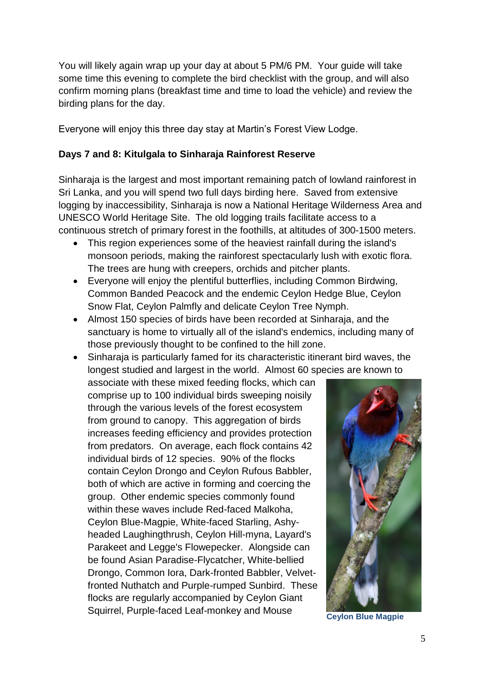You will likely again wrap up your day at about 5 PM/6 PM. Your guide will take some time this evening to complete the bird checklist with the group, and will also confirm morning plans (breakfast time and time to load the vehicle) and review the birding plans for the day.

Everyone will enjoy this three day stay at Martin's Forest View Lodge.

#### **Days 7 and 8: Kitulgala to Sinharaja Rainforest Reserve**

Sinharaja is the largest and most important remaining patch of lowland rainforest in Sri Lanka, and you will spend two full days birding here. Saved from extensive logging by inaccessibility, Sinharaja is now a National Heritage Wilderness Area and UNESCO World Heritage Site. The old logging trails facilitate access to a continuous stretch of primary forest in the foothills, at altitudes of 300-1500 meters.

- This region experiences some of the heaviest rainfall during the island's monsoon periods, making the rainforest spectacularly lush with exotic flora. The trees are hung with creepers, orchids and pitcher plants.
- Everyone will enjoy the plentiful butterflies, including Common Birdwing, Common Banded Peacock and the endemic Ceylon Hedge Blue, Ceylon Snow Flat, Ceylon Palmfly and delicate Ceylon Tree Nymph.
- Almost 150 species of birds have been recorded at Sinharaja, and the sanctuary is home to virtually all of the island's endemics, including many of those previously thought to be confined to the hill zone.
- Sinharaja is particularly famed for its characteristic itinerant bird waves, the longest studied and largest in the world. Almost 60 species are known to

associate with these mixed feeding flocks, which can comprise up to 100 individual birds sweeping noisily through the various levels of the forest ecosystem from ground to canopy. This aggregation of birds increases feeding efficiency and provides protection from predators. On average, each flock contains 42 individual birds of 12 species. 90% of the flocks contain Ceylon Drongo and Ceylon Rufous Babbler, both of which are active in forming and coercing the group. Other endemic species commonly found within these waves include Red-faced Malkoha, Ceylon Blue-Magpie, White-faced Starling, Ashyheaded Laughingthrush, Ceylon Hill-myna, Layard's Parakeet and Legge's Flowepecker. Alongside can be found Asian Paradise-Flycatcher, White-bellied Drongo, Common Iora, Dark-fronted Babbler, Velvetfronted Nuthatch and Purple-rumped Sunbird. These flocks are regularly accompanied by Ceylon Giant Squirrel, Purple-faced Leaf-monkey and Mouse **Ceylon Blue Magpie**

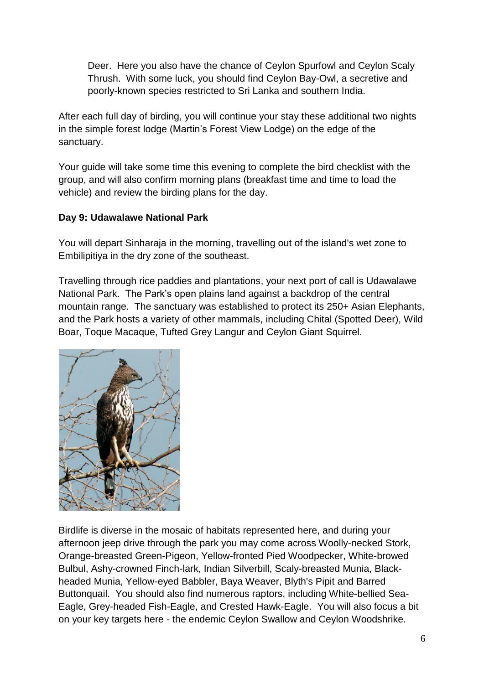Deer. Here you also have the chance of Ceylon Spurfowl and Ceylon Scaly Thrush. With some luck, you should find Ceylon Bay-Owl, a secretive and poorly-known species restricted to Sri Lanka and southern India.

After each full day of birding, you will continue your stay these additional two nights in the simple forest lodge (Martin's Forest View Lodge) on the edge of the sanctuary.

Your guide will take some time this evening to complete the bird checklist with the group, and will also confirm morning plans (breakfast time and time to load the vehicle) and review the birding plans for the day.

#### **Day 9: Udawalawe National Park**

You will depart Sinharaja in the morning, travelling out of the island's wet zone to Embilipitiya in the dry zone of the southeast.

Travelling through rice paddies and plantations, your next port of call is Udawalawe National Park. The Park's open plains land against a backdrop of the central mountain range. The sanctuary was established to protect its 250+ Asian Elephants, and the Park hosts a variety of other mammals, including Chital (Spotted Deer), Wild Boar, Toque Macaque, Tufted Grey Langur and Ceylon Giant Squirrel.



Birdlife is diverse in the mosaic of habitats represented here, and during your afternoon jeep drive through the park you may come across Woolly-necked Stork, Orange-breasted Green-Pigeon, Yellow-fronted Pied Woodpecker, White-browed Bulbul, Ashy-crowned Finch-lark, Indian Silverbill, Scaly-breasted Munia, Blackheaded Munia, Yellow-eyed Babbler, Baya Weaver, Blyth's Pipit and Barred Buttonquail. You should also find numerous raptors, including White-bellied Sea-Eagle, Grey-headed Fish-Eagle, and Crested Hawk-Eagle. You will also focus a bit on your key targets here - the endemic Ceylon Swallow and Ceylon Woodshrike.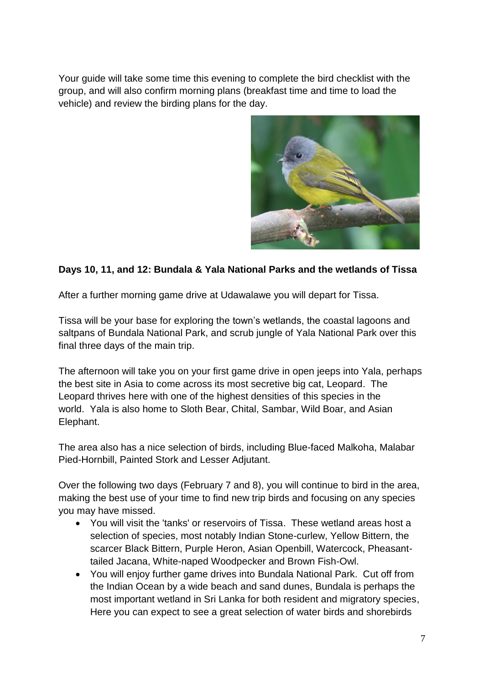Your guide will take some time this evening to complete the bird checklist with the group, and will also confirm morning plans (breakfast time and time to load the vehicle) and review the birding plans for the day.



#### **Days 10, 11, and 12: Bundala & Yala National Parks and the wetlands of Tissa**

After a further morning game drive at Udawalawe you will depart for Tissa.

Tissa will be your base for exploring the town's wetlands, the coastal lagoons and saltpans of Bundala National Park, and scrub jungle of Yala National Park over this final three days of the main trip.

The afternoon will take you on your first game drive in open jeeps into Yala, perhaps the best site in Asia to come across its most secretive big cat, Leopard. The Leopard thrives here with one of the highest densities of this species in the world. Yala is also home to Sloth Bear, Chital, Sambar, Wild Boar, and Asian Elephant.

The area also has a nice selection of birds, including Blue-faced Malkoha, Malabar Pied-Hornbill, Painted Stork and Lesser Adjutant.

Over the following two days (February 7 and 8), you will continue to bird in the area, making the best use of your time to find new trip birds and focusing on any species you may have missed.

- You will visit the 'tanks' or reservoirs of Tissa. These wetland areas host a selection of species, most notably Indian Stone-curlew, Yellow Bittern, the scarcer Black Bittern, Purple Heron, Asian Openbill, Watercock, Pheasanttailed Jacana, White-naped Woodpecker and Brown Fish-Owl.
- You will enjoy further game drives into Bundala National Park. Cut off from the Indian Ocean by a wide beach and sand dunes, Bundala is perhaps the most important wetland in Sri Lanka for both resident and migratory species, Here you can expect to see a great selection of water birds and shorebirds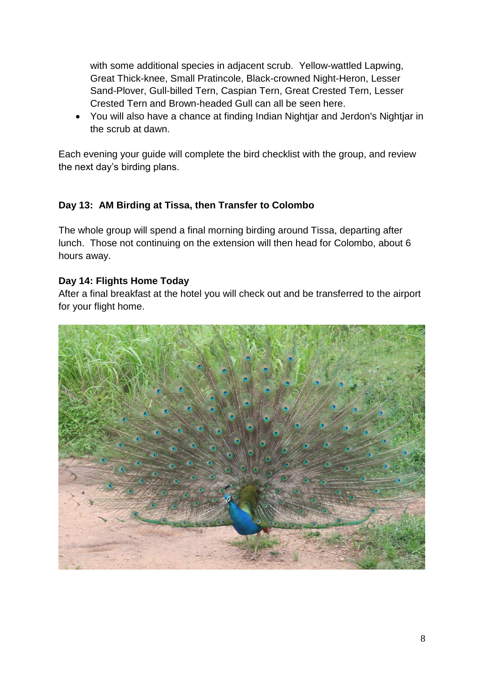with some additional species in adjacent scrub. Yellow-wattled Lapwing, Great Thick-knee, Small Pratincole, Black-crowned Night-Heron, Lesser Sand-Plover, Gull-billed Tern, Caspian Tern, Great Crested Tern, Lesser Crested Tern and Brown-headed Gull can all be seen here.

 You will also have a chance at finding Indian Nightjar and Jerdon's Nightjar in the scrub at dawn.

Each evening your guide will complete the bird checklist with the group, and review the next day's birding plans.

#### **Day 13: AM Birding at Tissa, then Transfer to Colombo**

The whole group will spend a final morning birding around Tissa, departing after lunch. Those not continuing on the extension will then head for Colombo, about 6 hours away.

#### **Day 14: Flights Home Today**

After a final breakfast at the hotel you will check out and be transferred to the airport for your flight home.

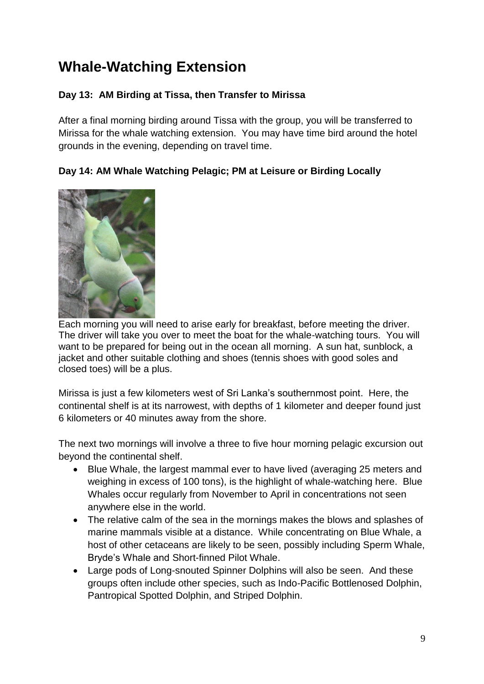# **Whale-Watching Extension**

### **Day 13: AM Birding at Tissa, then Transfer to Mirissa**

After a final morning birding around Tissa with the group, you will be transferred to Mirissa for the whale watching extension. You may have time bird around the hotel grounds in the evening, depending on travel time.

**Day 14: AM Whale Watching Pelagic; PM at Leisure or Birding Locally**



Each morning you will need to arise early for breakfast, before meeting the driver. The driver will take you over to meet the boat for the whale-watching tours. You will want to be prepared for being out in the ocean all morning. A sun hat, sunblock, a jacket and other suitable clothing and shoes (tennis shoes with good soles and closed toes) will be a plus.

Mirissa is just a few kilometers west of Sri Lanka's southernmost point. Here, the continental shelf is at its narrowest, with depths of 1 kilometer and deeper found just 6 kilometers or 40 minutes away from the shore.

The next two mornings will involve a three to five hour morning pelagic excursion out beyond the continental shelf.

- Blue Whale, the largest mammal ever to have lived (averaging 25 meters and weighing in excess of 100 tons), is the highlight of whale-watching here. Blue Whales occur regularly from November to April in concentrations not seen anywhere else in the world.
- The relative calm of the sea in the mornings makes the blows and splashes of marine mammals visible at a distance. While concentrating on Blue Whale, a host of other cetaceans are likely to be seen, possibly including Sperm Whale, Bryde's Whale and Short-finned Pilot Whale.
- Large pods of Long-snouted Spinner Dolphins will also be seen. And these groups often include other species, such as Indo-Pacific Bottlenosed Dolphin, Pantropical Spotted Dolphin, and Striped Dolphin.